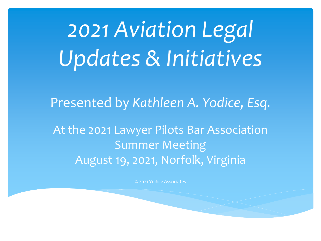*2021 Aviation Legal Updates & Initiatives*

Presented by *Kathleen A. Yodice, Esq.*

At the 2021 Lawyer Pilots Bar Association Summer Meeting August 19, 2021, Norfolk, Virginia

© 2021 Yodice Associates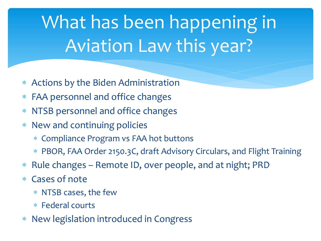# What has been happening in Aviation Law this year?

- Actions by the Biden Administration
- FAA personnel and office changes
- NTSB personnel and office changes
- New and continuing policies
	- Compliance Program vs FAA hot buttons
	- PBOR, FAA Order 2150.3C, draft Advisory Circulars, and Flight Training
- Rule changes Remote ID, over people, and at night; PRD
- Cases of note
	- NTSB cases, the few
	- Federal courts
- New legislation introduced in Congress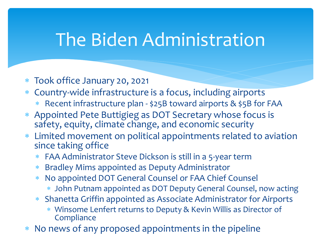### The Biden Administration

- Took office January 20, 2021
- Country-wide infrastructure is a focus, including airports
	- Recent infrastructure plan \$25B toward airports & \$5B for FAA
- Appointed Pete Buttigieg as DOT Secretary whose focus is safety, equity, climate change, and economic security
- Limited movement on political appointments related to aviation since taking office
	- FAA Administrator Steve Dickson is still in a 5-year term
	- Bradley Mims appointed as Deputy Administrator
	- No appointed DOT General Counsel or FAA Chief Counsel
		- John Putnam appointed as DOT Deputy General Counsel, now acting
	- Shanetta Griffin appointed as Associate Administrator for Airports
		- Winsome Lenfert returns to Deputy & Kevin Willis as Director of **Compliance**
- No news of any proposed appointments in the pipeline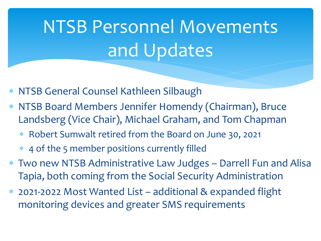# NTSB Personnel Movements and Updates

- NTSB General Counsel Kathleen Silbaugh
- NTSB Board Members Jennifer Homendy (Chairman), Bruce Landsberg (Vice Chair), Michael Graham, and Tom Chapman
	- Robert Sumwalt retired from the Board on June 30, 2021
	- 4 of the 5 member positions currently filled
- Two new NTSB Administrative Law Judges Darrell Fun and Alisa Tapia, both coming from the Social Security Administration
- 2021-2022 Most Wanted List additional & expanded flight monitoring devices and greater SMS requirements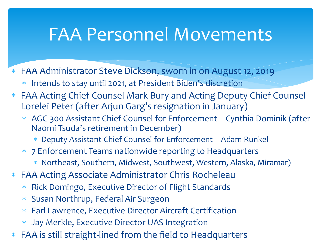### FAA Personnel Movements

- FAA Administrator Steve Dickson, sworn in on August 12, 2019
	- Intends to stay until 2021, at President Biden's discretion
- FAA Acting Chief Counsel Mark Bury and Acting Deputy Chief Counsel Lorelei Peter (after Arjun Garg's resignation in January)
	- AGC-300 Assistant Chief Counsel for Enforcement Cynthia Dominik (after Naomi Tsuda's retirement in December)
		- Deputy Assistant Chief Counsel for Enforcement Adam Runkel
	- 7 Enforcement Teams nationwide reporting to Headquarters
		- Northeast, Southern, Midwest, Southwest, Western, Alaska, Miramar)
- FAA Acting Associate Administrator Chris Rocheleau
	- Rick Domingo, Executive Director of Flight Standards
	- Susan Northrup, Federal Air Surgeon
	- Earl Lawrence, Executive Director Aircraft Certification
	- Jay Merkle, Executive Director UAS Integration
- FAA is still straight-lined from the field to Headquarters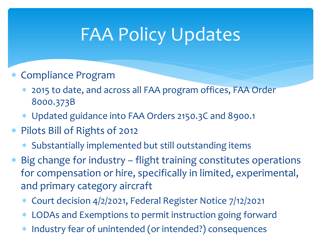## FAA Policy Updates

- Compliance Program
	- 2015 to date, and across all FAA program offices, FAA Order 8000.373B
	- Updated guidance into FAA Orders 2150.3C and 8900.1
- Pilots Bill of Rights of 2012
	- Substantially implemented but still outstanding items
- Big change for industry flight training constitutes operations for compensation or hire, specifically in limited, experimental, and primary category aircraft
	- Court decision 4/2/2021, Federal Register Notice 7/12/2021
	- LODAs and Exemptions to permit instruction going forward
	- Industry fear of unintended (or intended?) consequences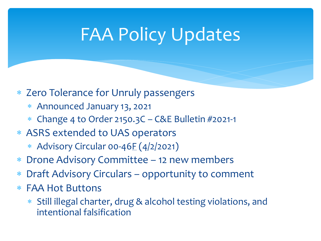### FAA Policy Updates

#### Zero Tolerance for Unruly passengers

- Announced January 13, 2021
- Change 4 to Order 2150.3C C&E Bulletin #2021-1

#### ASRS extended to UAS operators

- \* Advisory Circular 00-46 $E$  (4/2/2021)
- Drone Advisory Committee 12 new members
- Draft Advisory Circulars opportunity to comment
- FAA Hot Buttons
	- Still illegal charter, drug & alcohol testing violations, and intentional falsification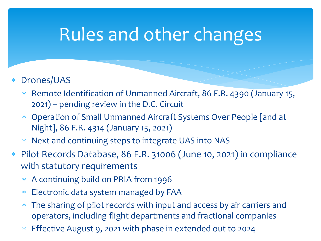### Rules and other changes

- Drones/UAS
	- Remote Identification of Unmanned Aircraft, 86 F.R. 4390 (January 15, 2021) – pending review in the D.C. Circuit
	- Operation of Small Unmanned Aircraft Systems Over People [and at Night], 86 F.R. 4314 (January 15, 2021)
	- Next and continuing steps to integrate UAS into NAS
- Pilot Records Database, 86 F.R. 31006 (June 10, 2021) in compliance with statutory requirements
	- A continuing build on PRIA from 1996
	- Electronic data system managed by FAA
	- \* The sharing of pilot records with input and access by air carriers and operators, including flight departments and fractional companies
	- Effective August 9, 2021 with phase in extended out to 2024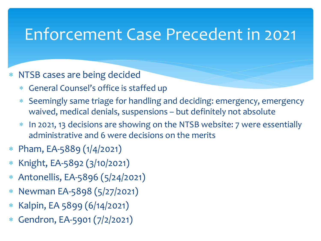### Enforcement Case Precedent in 2021

#### NTSB cases are being decided

- General Counsel's office is staffed up
- Seemingly same triage for handling and deciding: emergency, emergency waived, medical denials, suspensions – but definitely not absolute
- In 2021, 13 decisions are showing on the NTSB website: 7 were essentially administrative and 6 were decisions on the merits
- Pham, EA-5889 (1/4/2021)
- Knight, EA-5892 (3/10/2021)
- Antonellis, EA-5896 (5/24/2021)
- Newman EA-5898 (5/27/2021)
- Kalpin, EA 5899 (6/14/2021)
- Gendron, EA-5901 (7/2/2021)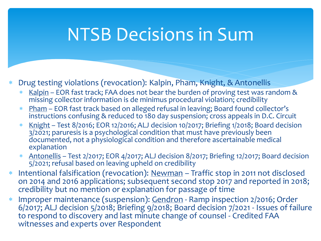### NTSB Decisions in Sum

- Drug testing violations (revocation): Kalpin, Pham, Knight, & Antonellis
	- Kalpin EOR fast track; FAA does not bear the burden of proving test was random & missing collector information is de minimus procedural violation; credibility
	- \* Pham EOR fast track based on alleged refusal in leaving; Board found collector's instructions confusing & reduced to 180 day suspension; cross appeals in D.C. Circuit
	- Knight Test 8/2016; EOR 12/2016; ALJ decision 10/2017; Briefing 1/2018; Board decision 3/2021; paruresis is a psychological condition that must have previously been documented, not a physiological condition and therefore ascertainable medical explanation
	- \* Antonellis Test 2/2017; EOR 4/2017; ALJ decision 8/2017; Briefing 12/2017; Board decision 5/2021; refusal based on leaving upheld on credibility
- \* Intentional falsification (revocation): Newman Traffic stop in 2011 not disclosed on 2014 and 2016 applications; subsequent second stop 2017 and reported in 2018; credibility but no mention or explanation for passage of time
- Improper maintenance (suspension): Gendron Ramp inspection 2/2016; Order 6/2017; ALJ decision 5/2018; Briefing 9/2018; Board decision 7/2021 - Issues of failure to respond to discovery and last minute change of counsel - Credited FAA witnesses and experts over Respondent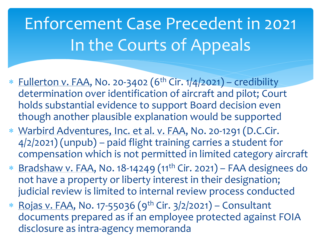# Enforcement Case Precedent in 2021 In the Courts of Appeals

- \* Fullerton v. FAA, No. 20-3402 ( $6<sup>th</sup>$  Cir.  $1/4/2021$ ) credibility determination over identification of aircraft and pilot; Court holds substantial evidence to support Board decision even though another plausible explanation would be supported
- Warbird Adventures, Inc. et al. v. FAA, No. 20-1291 (D.C.Cir. 4/2/2021) (unpub) – paid flight training carries a student for compensation which is not permitted in limited category aircraft
- Bradshaw v. FAA, No. 18-14249 (11th Cir. 2021) FAA designees do not have a property or liberty interest in their designation; judicial review is limited to internal review process conducted
- \* Rojas v. FAA, No. 17-55036 (9<sup>th</sup> Cir. 3/2/2021) Consultant documents prepared as if an employee protected against FOIA disclosure as intra-agency memoranda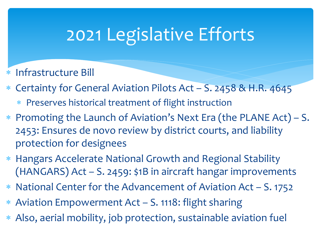## 2021 Legislative Efforts

- Infrastructure Bill
- Certainty for General Aviation Pilots Act S. 2458 & H.R. 4645
	- Preserves historical treatment of flight instruction
- Promoting the Launch of Aviation's Next Era (the PLANE Act) S. 2453: Ensures de novo review by district courts, and liability protection for designees
- Hangars Accelerate National Growth and Regional Stability (HANGARS) Act – S. 2459: \$1B in aircraft hangar improvements
- National Center for the Advancement of Aviation Act S. 1752
- Aviation Empowerment Act S. 1118: flight sharing
- Also, aerial mobility, job protection, sustainable aviation fuel